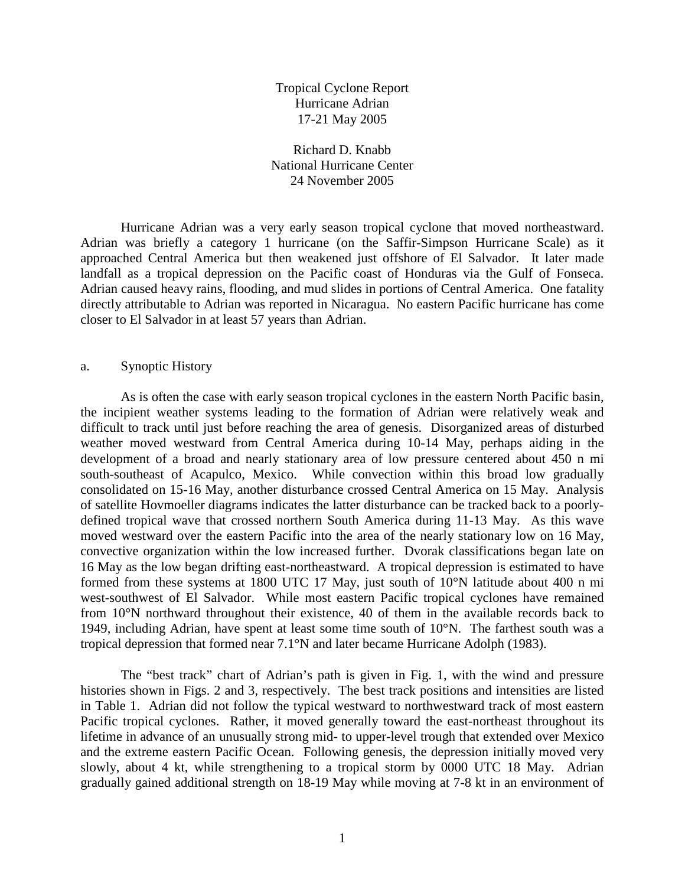Tropical Cyclone Report Hurricane Adrian 17-21 May 2005

Richard D. Knabb National Hurricane Center 24 November 2005

 Hurricane Adrian was a very early season tropical cyclone that moved northeastward. Adrian was briefly a category 1 hurricane (on the Saffir-Simpson Hurricane Scale) as it approached Central America but then weakened just offshore of El Salvador. It later made landfall as a tropical depression on the Pacific coast of Honduras via the Gulf of Fonseca. Adrian caused heavy rains, flooding, and mud slides in portions of Central America. One fatality directly attributable to Adrian was reported in Nicaragua. No eastern Pacific hurricane has come closer to El Salvador in at least 57 years than Adrian.

## a. Synoptic History

As is often the case with early season tropical cyclones in the eastern North Pacific basin, the incipient weather systems leading to the formation of Adrian were relatively weak and difficult to track until just before reaching the area of genesis. Disorganized areas of disturbed weather moved westward from Central America during 10-14 May, perhaps aiding in the development of a broad and nearly stationary area of low pressure centered about 450 n mi south-southeast of Acapulco, Mexico. While convection within this broad low gradually consolidated on 15-16 May, another disturbance crossed Central America on 15 May. Analysis of satellite Hovmoeller diagrams indicates the latter disturbance can be tracked back to a poorlydefined tropical wave that crossed northern South America during 11-13 May. As this wave moved westward over the eastern Pacific into the area of the nearly stationary low on 16 May, convective organization within the low increased further. Dvorak classifications began late on 16 May as the low began drifting east-northeastward. A tropical depression is estimated to have formed from these systems at 1800 UTC 17 May, just south of 10°N latitude about 400 n mi west-southwest of El Salvador. While most eastern Pacific tropical cyclones have remained from 10°N northward throughout their existence, 40 of them in the available records back to 1949, including Adrian, have spent at least some time south of 10°N. The farthest south was a tropical depression that formed near 7.1°N and later became Hurricane Adolph (1983).

The "best track" chart of Adrian's path is given in Fig. 1, with the wind and pressure histories shown in Figs. 2 and 3, respectively. The best track positions and intensities are listed in Table 1. Adrian did not follow the typical westward to northwestward track of most eastern Pacific tropical cyclones. Rather, it moved generally toward the east-northeast throughout its lifetime in advance of an unusually strong mid- to upper-level trough that extended over Mexico and the extreme eastern Pacific Ocean. Following genesis, the depression initially moved very slowly, about 4 kt, while strengthening to a tropical storm by 0000 UTC 18 May. Adrian gradually gained additional strength on 18-19 May while moving at 7-8 kt in an environment of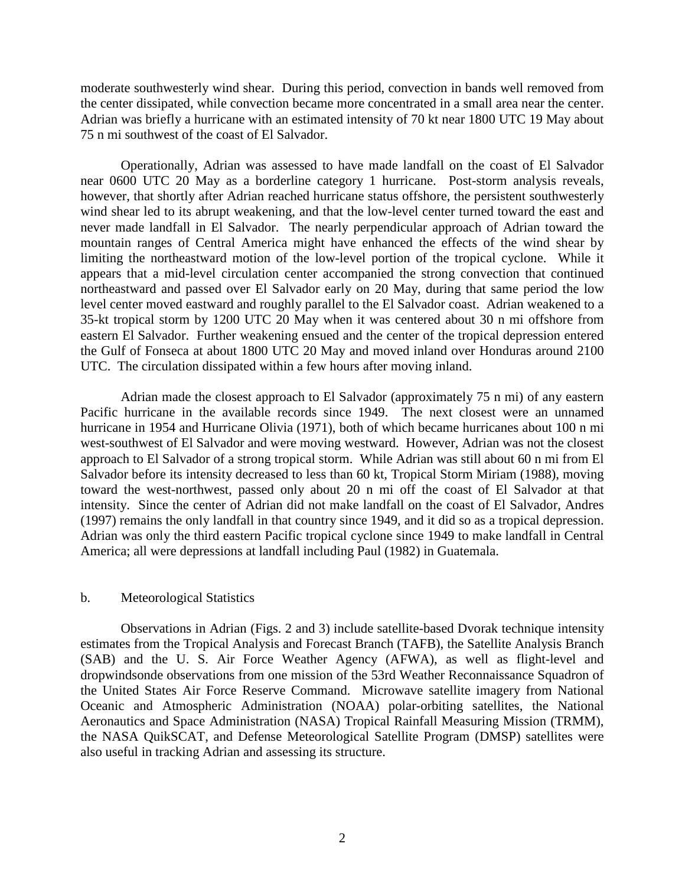moderate southwesterly wind shear. During this period, convection in bands well removed from the center dissipated, while convection became more concentrated in a small area near the center. Adrian was briefly a hurricane with an estimated intensity of 70 kt near 1800 UTC 19 May about 75 n mi southwest of the coast of El Salvador.

Operationally, Adrian was assessed to have made landfall on the coast of El Salvador near 0600 UTC 20 May as a borderline category 1 hurricane. Post-storm analysis reveals, however, that shortly after Adrian reached hurricane status offshore, the persistent southwesterly wind shear led to its abrupt weakening, and that the low-level center turned toward the east and never made landfall in El Salvador. The nearly perpendicular approach of Adrian toward the mountain ranges of Central America might have enhanced the effects of the wind shear by limiting the northeastward motion of the low-level portion of the tropical cyclone. While it appears that a mid-level circulation center accompanied the strong convection that continued northeastward and passed over El Salvador early on 20 May, during that same period the low level center moved eastward and roughly parallel to the El Salvador coast. Adrian weakened to a 35-kt tropical storm by 1200 UTC 20 May when it was centered about 30 n mi offshore from eastern El Salvador. Further weakening ensued and the center of the tropical depression entered the Gulf of Fonseca at about 1800 UTC 20 May and moved inland over Honduras around 2100 UTC. The circulation dissipated within a few hours after moving inland.

Adrian made the closest approach to El Salvador (approximately 75 n mi) of any eastern Pacific hurricane in the available records since 1949. The next closest were an unnamed hurricane in 1954 and Hurricane Olivia (1971), both of which became hurricanes about 100 n mi west-southwest of El Salvador and were moving westward. However, Adrian was not the closest approach to El Salvador of a strong tropical storm. While Adrian was still about 60 n mi from El Salvador before its intensity decreased to less than 60 kt, Tropical Storm Miriam (1988), moving toward the west-northwest, passed only about 20 n mi off the coast of El Salvador at that intensity. Since the center of Adrian did not make landfall on the coast of El Salvador, Andres (1997) remains the only landfall in that country since 1949, and it did so as a tropical depression. Adrian was only the third eastern Pacific tropical cyclone since 1949 to make landfall in Central America; all were depressions at landfall including Paul (1982) in Guatemala.

## b. Meteorological Statistics

 Observations in Adrian (Figs. 2 and 3) include satellite-based Dvorak technique intensity estimates from the Tropical Analysis and Forecast Branch (TAFB), the Satellite Analysis Branch (SAB) and the U. S. Air Force Weather Agency (AFWA), as well as flight-level and dropwindsonde observations from one mission of the 53rd Weather Reconnaissance Squadron of the United States Air Force Reserve Command. Microwave satellite imagery from National Oceanic and Atmospheric Administration (NOAA) polar-orbiting satellites, the National Aeronautics and Space Administration (NASA) Tropical Rainfall Measuring Mission (TRMM), the NASA QuikSCAT, and Defense Meteorological Satellite Program (DMSP) satellites were also useful in tracking Adrian and assessing its structure.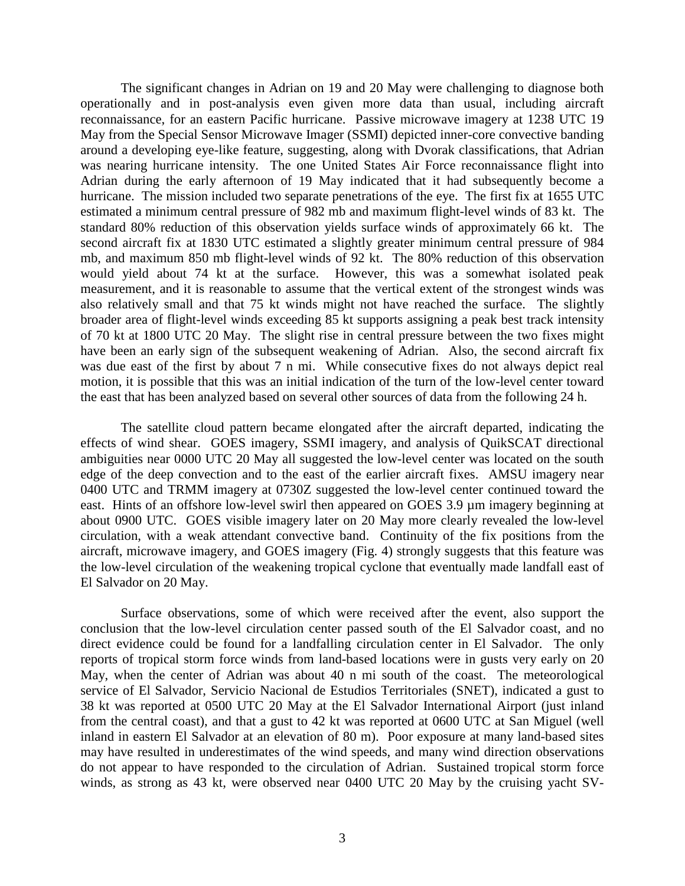The significant changes in Adrian on 19 and 20 May were challenging to diagnose both operationally and in post-analysis even given more data than usual, including aircraft reconnaissance, for an eastern Pacific hurricane. Passive microwave imagery at 1238 UTC 19 May from the Special Sensor Microwave Imager (SSMI) depicted inner-core convective banding around a developing eye-like feature, suggesting, along with Dvorak classifications, that Adrian was nearing hurricane intensity. The one United States Air Force reconnaissance flight into Adrian during the early afternoon of 19 May indicated that it had subsequently become a hurricane. The mission included two separate penetrations of the eye. The first fix at 1655 UTC estimated a minimum central pressure of 982 mb and maximum flight-level winds of 83 kt. The standard 80% reduction of this observation yields surface winds of approximately 66 kt. The second aircraft fix at 1830 UTC estimated a slightly greater minimum central pressure of 984 mb, and maximum 850 mb flight-level winds of 92 kt. The 80% reduction of this observation would yield about 74 kt at the surface. However, this was a somewhat isolated peak measurement, and it is reasonable to assume that the vertical extent of the strongest winds was also relatively small and that 75 kt winds might not have reached the surface. The slightly broader area of flight-level winds exceeding 85 kt supports assigning a peak best track intensity of 70 kt at 1800 UTC 20 May. The slight rise in central pressure between the two fixes might have been an early sign of the subsequent weakening of Adrian. Also, the second aircraft fix was due east of the first by about 7 n mi. While consecutive fixes do not always depict real motion, it is possible that this was an initial indication of the turn of the low-level center toward the east that has been analyzed based on several other sources of data from the following 24 h.

The satellite cloud pattern became elongated after the aircraft departed, indicating the effects of wind shear. GOES imagery, SSMI imagery, and analysis of QuikSCAT directional ambiguities near 0000 UTC 20 May all suggested the low-level center was located on the south edge of the deep convection and to the east of the earlier aircraft fixes. AMSU imagery near 0400 UTC and TRMM imagery at 0730Z suggested the low-level center continued toward the east. Hints of an offshore low-level swirl then appeared on GOES 3.9 µm imagery beginning at about 0900 UTC. GOES visible imagery later on 20 May more clearly revealed the low-level circulation, with a weak attendant convective band. Continuity of the fix positions from the aircraft, microwave imagery, and GOES imagery (Fig. 4) strongly suggests that this feature was the low-level circulation of the weakening tropical cyclone that eventually made landfall east of El Salvador on 20 May.

Surface observations, some of which were received after the event, also support the conclusion that the low-level circulation center passed south of the El Salvador coast, and no direct evidence could be found for a landfalling circulation center in El Salvador. The only reports of tropical storm force winds from land-based locations were in gusts very early on 20 May, when the center of Adrian was about 40 n mi south of the coast. The meteorological service of El Salvador, Servicio Nacional de Estudios Territoriales (SNET), indicated a gust to 38 kt was reported at 0500 UTC 20 May at the El Salvador International Airport (just inland from the central coast), and that a gust to 42 kt was reported at 0600 UTC at San Miguel (well inland in eastern El Salvador at an elevation of 80 m). Poor exposure at many land-based sites may have resulted in underestimates of the wind speeds, and many wind direction observations do not appear to have responded to the circulation of Adrian. Sustained tropical storm force winds, as strong as 43 kt, were observed near 0400 UTC 20 May by the cruising yacht SV-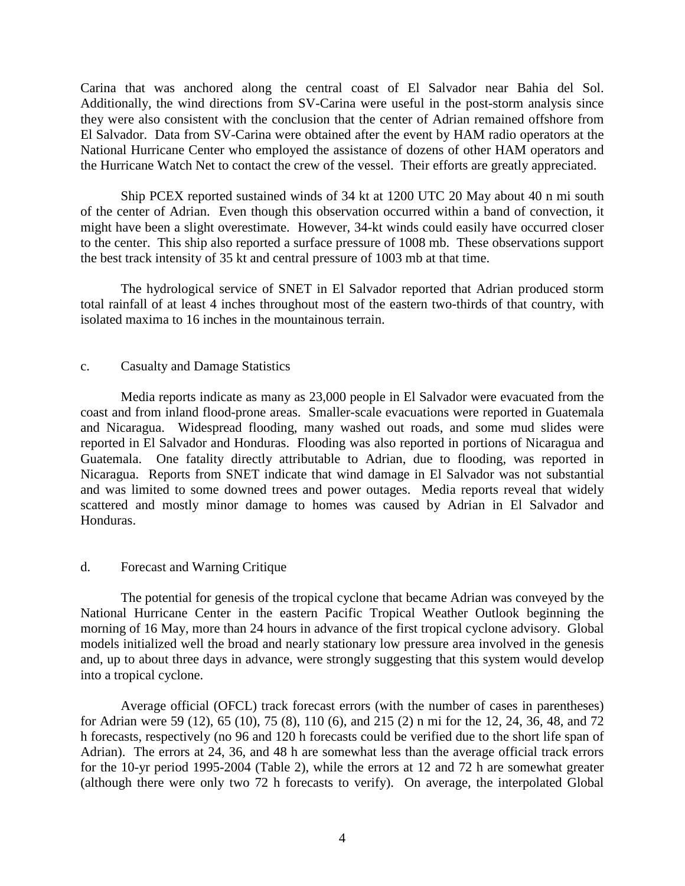Carina that was anchored along the central coast of El Salvador near Bahia del Sol. Additionally, the wind directions from SV-Carina were useful in the post-storm analysis since they were also consistent with the conclusion that the center of Adrian remained offshore from El Salvador. Data from SV-Carina were obtained after the event by HAM radio operators at the National Hurricane Center who employed the assistance of dozens of other HAM operators and the Hurricane Watch Net to contact the crew of the vessel. Their efforts are greatly appreciated.

Ship PCEX reported sustained winds of 34 kt at 1200 UTC 20 May about 40 n mi south of the center of Adrian. Even though this observation occurred within a band of convection, it might have been a slight overestimate. However, 34-kt winds could easily have occurred closer to the center. This ship also reported a surface pressure of 1008 mb. These observations support the best track intensity of 35 kt and central pressure of 1003 mb at that time.

The hydrological service of SNET in El Salvador reported that Adrian produced storm total rainfall of at least 4 inches throughout most of the eastern two-thirds of that country, with isolated maxima to 16 inches in the mountainous terrain.

## c. Casualty and Damage Statistics

 Media reports indicate as many as 23,000 people in El Salvador were evacuated from the coast and from inland flood-prone areas. Smaller-scale evacuations were reported in Guatemala and Nicaragua. Widespread flooding, many washed out roads, and some mud slides were reported in El Salvador and Honduras. Flooding was also reported in portions of Nicaragua and Guatemala. One fatality directly attributable to Adrian, due to flooding, was reported in Nicaragua. Reports from SNET indicate that wind damage in El Salvador was not substantial and was limited to some downed trees and power outages. Media reports reveal that widely scattered and mostly minor damage to homes was caused by Adrian in El Salvador and Honduras.

## d. Forecast and Warning Critique

 The potential for genesis of the tropical cyclone that became Adrian was conveyed by the National Hurricane Center in the eastern Pacific Tropical Weather Outlook beginning the morning of 16 May, more than 24 hours in advance of the first tropical cyclone advisory. Global models initialized well the broad and nearly stationary low pressure area involved in the genesis and, up to about three days in advance, were strongly suggesting that this system would develop into a tropical cyclone.

Average official (OFCL) track forecast errors (with the number of cases in parentheses) for Adrian were 59 (12), 65 (10), 75 (8), 110 (6), and 215 (2) n mi for the 12, 24, 36, 48, and 72 h forecasts, respectively (no 96 and 120 h forecasts could be verified due to the short life span of Adrian). The errors at 24, 36, and 48 h are somewhat less than the average official track errors for the 10-yr period 1995-2004 (Table 2), while the errors at 12 and 72 h are somewhat greater (although there were only two 72 h forecasts to verify). On average, the interpolated Global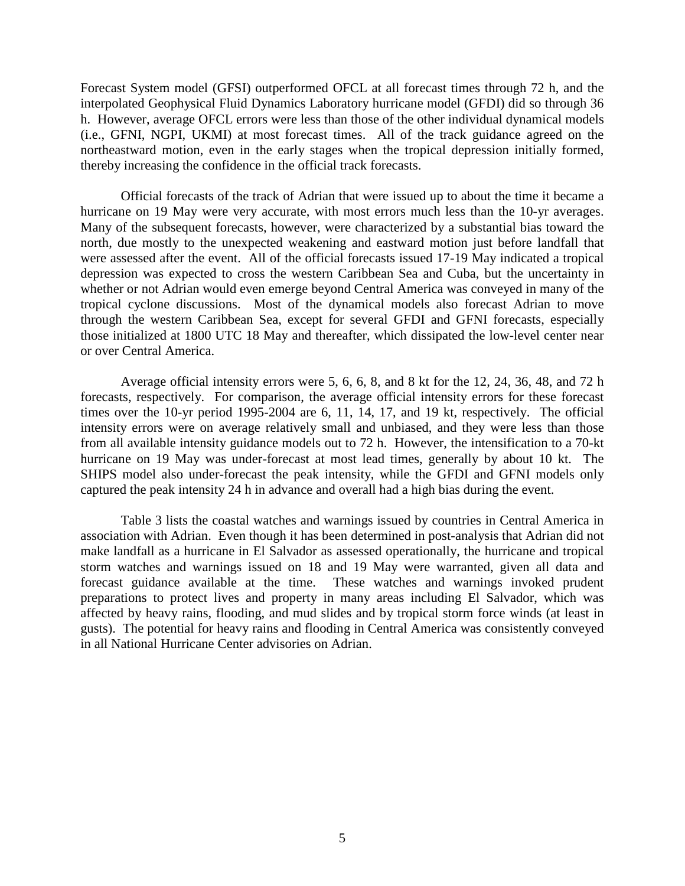Forecast System model (GFSI) outperformed OFCL at all forecast times through 72 h, and the interpolated Geophysical Fluid Dynamics Laboratory hurricane model (GFDI) did so through 36 h. However, average OFCL errors were less than those of the other individual dynamical models (i.e., GFNI, NGPI, UKMI) at most forecast times. All of the track guidance agreed on the northeastward motion, even in the early stages when the tropical depression initially formed, thereby increasing the confidence in the official track forecasts.

Official forecasts of the track of Adrian that were issued up to about the time it became a hurricane on 19 May were very accurate, with most errors much less than the 10-yr averages. Many of the subsequent forecasts, however, were characterized by a substantial bias toward the north, due mostly to the unexpected weakening and eastward motion just before landfall that were assessed after the event. All of the official forecasts issued 17-19 May indicated a tropical depression was expected to cross the western Caribbean Sea and Cuba, but the uncertainty in whether or not Adrian would even emerge beyond Central America was conveyed in many of the tropical cyclone discussions. Most of the dynamical models also forecast Adrian to move through the western Caribbean Sea, except for several GFDI and GFNI forecasts, especially those initialized at 1800 UTC 18 May and thereafter, which dissipated the low-level center near or over Central America.

 Average official intensity errors were 5, 6, 6, 8, and 8 kt for the 12, 24, 36, 48, and 72 h forecasts, respectively. For comparison, the average official intensity errors for these forecast times over the 10-yr period 1995-2004 are 6, 11, 14, 17, and 19 kt, respectively. The official intensity errors were on average relatively small and unbiased, and they were less than those from all available intensity guidance models out to 72 h. However, the intensification to a 70-kt hurricane on 19 May was under-forecast at most lead times, generally by about 10 kt. The SHIPS model also under-forecast the peak intensity, while the GFDI and GFNI models only captured the peak intensity 24 h in advance and overall had a high bias during the event.

Table 3 lists the coastal watches and warnings issued by countries in Central America in association with Adrian. Even though it has been determined in post-analysis that Adrian did not make landfall as a hurricane in El Salvador as assessed operationally, the hurricane and tropical storm watches and warnings issued on 18 and 19 May were warranted, given all data and forecast guidance available at the time. These watches and warnings invoked prudent preparations to protect lives and property in many areas including El Salvador, which was affected by heavy rains, flooding, and mud slides and by tropical storm force winds (at least in gusts). The potential for heavy rains and flooding in Central America was consistently conveyed in all National Hurricane Center advisories on Adrian.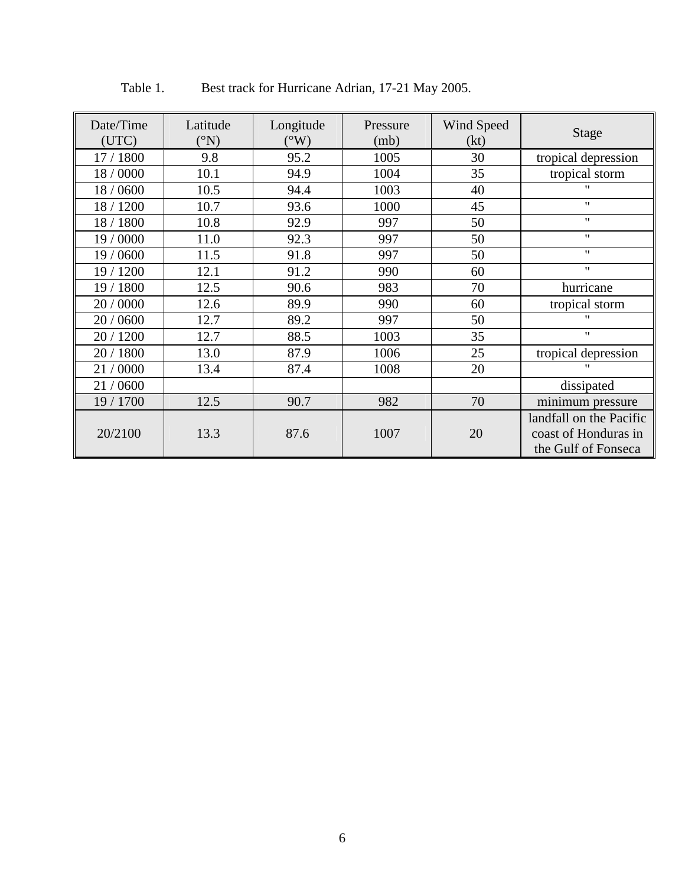| Date/Time<br>(UTC) | Latitude<br>$({}^{\circ}{\rm N})$ | Longitude<br>$(^{\circ}W)$ | Pressure<br>(mb) | Wind Speed<br>(kt) | <b>Stage</b>            |  |
|--------------------|-----------------------------------|----------------------------|------------------|--------------------|-------------------------|--|
| 17 / 1800          | 9.8                               | 95.2                       | 1005             | 30                 | tropical depression     |  |
| 18/0000            | 10.1                              | 94.9                       | 1004             | 35                 | tropical storm          |  |
| 18 / 0600          | 10.5                              | 94.4                       | 1003             | 40                 | $^{\prime\prime}$       |  |
| 18 / 1200          | 10.7                              | 93.6                       | 1000             | 45                 | $^{\prime\prime}$       |  |
| 18 / 1800          | 10.8                              | 92.9                       | 997              | 50                 | $\mathbf{H}$            |  |
| 19 / 0000          | 11.0                              | 92.3                       | 997              | 50                 | $^{\prime\prime}$       |  |
| 19 / 0600          | 11.5                              | 91.8                       | 997              | 50                 | $^{\prime\prime}$       |  |
| 19 / 1200          | 12.1                              | 91.2                       | 990              | 60                 | $\pmb{\mathsf{H}}$      |  |
| 19 / 1800          | 12.5                              | 90.6                       | 983              | 70                 | hurricane               |  |
| 20 / 0000          | 12.6                              | 89.9                       | 990              | 60                 | tropical storm          |  |
| 20 / 0600          | 12.7                              | 89.2                       | 997              | 50                 | $^{\prime}$             |  |
| 20 / 1200          | 12.7                              | 88.5                       | 1003             | 35                 | $\mathbf{H}$            |  |
| 20 / 1800          | 13.0                              | 87.9                       | 1006             | 25                 | tropical depression     |  |
| 21/0000            | 13.4                              | 87.4                       | 1008             | <br>20             |                         |  |
| 21/0600            |                                   |                            |                  |                    | dissipated              |  |
| 19 / 1700          | 12.5                              | 90.7                       | 982              | 70                 | minimum pressure        |  |
|                    |                                   |                            |                  |                    | landfall on the Pacific |  |
| 20/2100            | 13.3                              | 87.6                       | 1007             | 20                 | coast of Honduras in    |  |
|                    |                                   |                            |                  |                    | the Gulf of Fonseca     |  |

Table 1. Best track for Hurricane Adrian, 17-21 May 2005.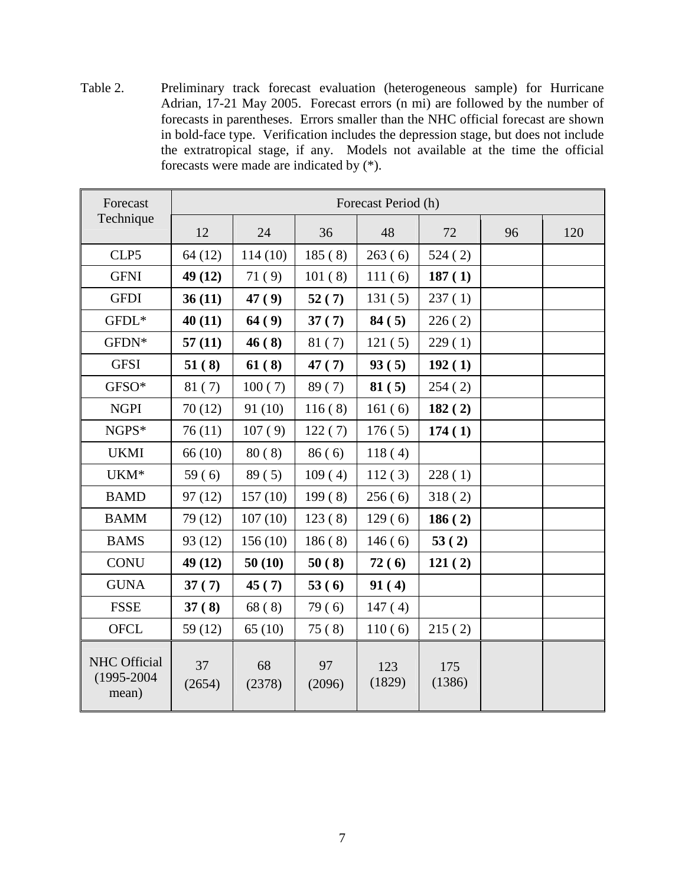Table 2. Preliminary track forecast evaluation (heterogeneous sample) for Hurricane Adrian, 17-21 May 2005. Forecast errors (n mi) are followed by the number of forecasts in parentheses. Errors smaller than the NHC official forecast are shown in bold-face type. Verification includes the depression stage, but does not include the extratropical stage, if any. Models not available at the time the official forecasts were made are indicated by (\*).

| Forecast<br>Technique                   | Forecast Period (h) |              |              |               |               |    |     |  |
|-----------------------------------------|---------------------|--------------|--------------|---------------|---------------|----|-----|--|
|                                         | 12                  | 24           | 36           | 48            | 72            | 96 | 120 |  |
| CLP5                                    | 64(12)              | 114(10)      | 185(8)       | 263(6)        | 524(2)        |    |     |  |
| <b>GFNI</b>                             | 49 (12)             | 71(9)        | 101(8)       | 111(6)        | 187(1)        |    |     |  |
| <b>GFDI</b>                             | 36(11)              | 47(9)        | 52(7)        | 131(5)        | 237(1)        |    |     |  |
| $GFDL*$                                 | 40(11)              | 64(9)        | 37(7)        | 84(5)         | 226(2)        |    |     |  |
| GFDN*                                   | 57(11)              | 46(8)        | 81(7)        | 121(5)        | 229(1)        |    |     |  |
| <b>GFSI</b>                             | 51(8)               | 61(8)        | 47(7)        | 93(5)         | 192(1)        |    |     |  |
| GFSO*                                   | 81(7)               | 100(7)       | 89(7)        | 81(5)         | 254(2)        |    |     |  |
| <b>NGPI</b>                             | 70(12)              | 91(10)       | 116(8)       | 161(6)        | 182(2)        |    |     |  |
| NGPS*                                   | 76(11)              | 107(9)       | 122(7)       | 176(5)        | 174(1)        |    |     |  |
| <b>UKMI</b>                             | 66(10)              | 80(8)        | 86(6)        | 118(4)        |               |    |     |  |
| $UKM*$                                  | 59(6)               | 89(5)        | 109(4)       | 112(3)        | 228(1)        |    |     |  |
| <b>BAMD</b>                             | 97(12)              | 157(10)      | 199(8)       | 256(6)        | 318(2)        |    |     |  |
| <b>BAMM</b>                             | 79 (12)             | 107(10)      | 123(8)       | 129(6)        | 186(2)        |    |     |  |
| <b>BAMS</b>                             | 93 (12)             | 156(10)      | 186(8)       | 146(6)        | 53(2)         |    |     |  |
| <b>CONU</b>                             | 49 (12)             | 50(10)       | 50(8)        | 72(6)         | 121(2)        |    |     |  |
| <b>GUNA</b>                             | 37(7)               | 45(7)        | 53(6)        | 91(4)         |               |    |     |  |
| <b>FSSE</b>                             | 37(8)               | 68(8)        | 79(6)        | 147(4)        |               |    |     |  |
| <b>OFCL</b>                             | 59 (12)             | 65(10)       | 75(8)        | 110(6)        | 215(2)        |    |     |  |
| NHC Official<br>$(1995 - 2004$<br>mean) | 37<br>(2654)        | 68<br>(2378) | 97<br>(2096) | 123<br>(1829) | 175<br>(1386) |    |     |  |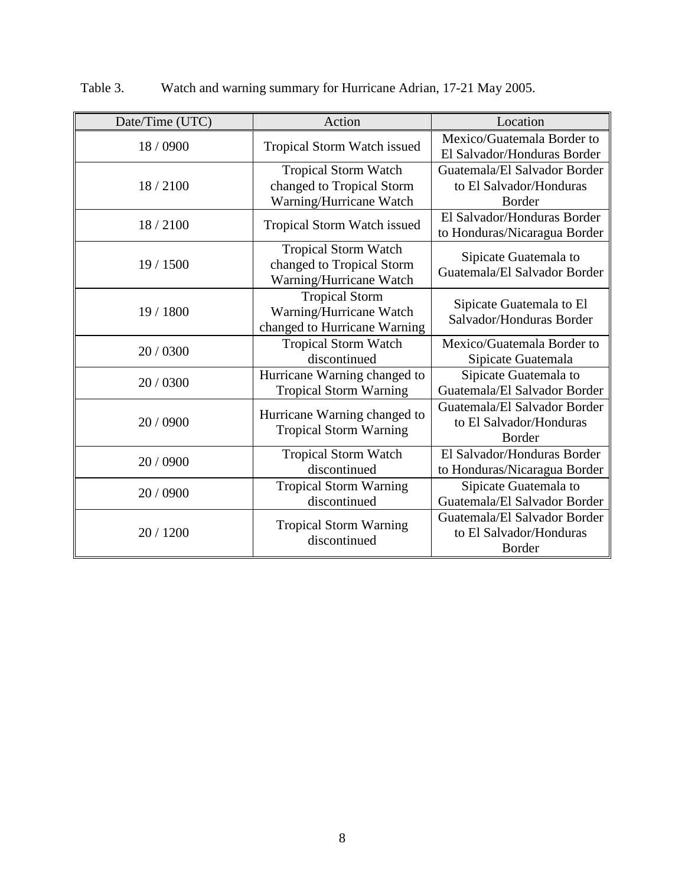| Date/Time (UTC) | Action                                                                              | Location                                                          |  |  |
|-----------------|-------------------------------------------------------------------------------------|-------------------------------------------------------------------|--|--|
| 18 / 0900       | Tropical Storm Watch issued                                                         | Mexico/Guatemala Border to<br>El Salvador/Honduras Border         |  |  |
| 18/2100         | <b>Tropical Storm Watch</b><br>changed to Tropical Storm<br>Warning/Hurricane Watch | Guatemala/El Salvador Border<br>to El Salvador/Honduras<br>Border |  |  |
| 18/2100         | Tropical Storm Watch issued                                                         | El Salvador/Honduras Border<br>to Honduras/Nicaragua Border       |  |  |
| 19/1500         | <b>Tropical Storm Watch</b><br>changed to Tropical Storm<br>Warning/Hurricane Watch | Sipicate Guatemala to<br>Guatemala/El Salvador Border             |  |  |
| 19 / 1800       | <b>Tropical Storm</b><br>Warning/Hurricane Watch<br>changed to Hurricane Warning    | Sipicate Guatemala to El<br>Salvador/Honduras Border              |  |  |
| 20 / 0300       | <b>Tropical Storm Watch</b><br>discontinued                                         | Mexico/Guatemala Border to<br>Sipicate Guatemala                  |  |  |
| 20 / 0300       | Hurricane Warning changed to<br><b>Tropical Storm Warning</b>                       | Sipicate Guatemala to<br>Guatemala/El Salvador Border             |  |  |
| 20 / 0900       | Hurricane Warning changed to<br><b>Tropical Storm Warning</b>                       | Guatemala/El Salvador Border<br>to El Salvador/Honduras<br>Border |  |  |
| 20 / 0900       | <b>Tropical Storm Watch</b><br>discontinued                                         | El Salvador/Honduras Border<br>to Honduras/Nicaragua Border       |  |  |
| 20 / 0900       | <b>Tropical Storm Warning</b><br>discontinued                                       | Sipicate Guatemala to<br>Guatemala/El Salvador Border             |  |  |
| 20 / 1200       | <b>Tropical Storm Warning</b><br>discontinued                                       | Guatemala/El Salvador Border<br>to El Salvador/Honduras<br>Border |  |  |

Table 3. Watch and warning summary for Hurricane Adrian, 17-21 May 2005.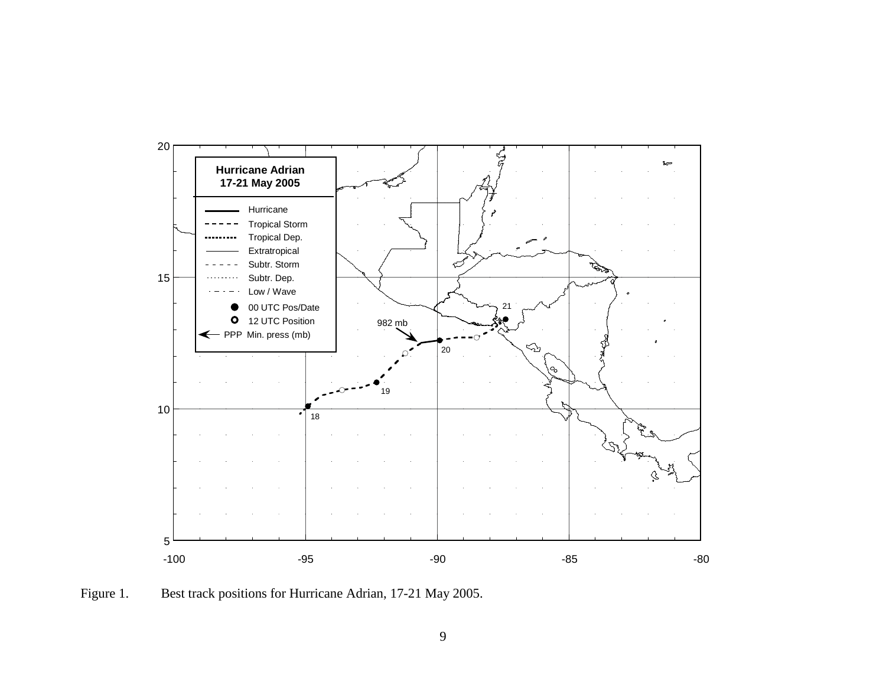

Figure 1. Best track positions for Hurricane Adrian, 17-21 May 2005.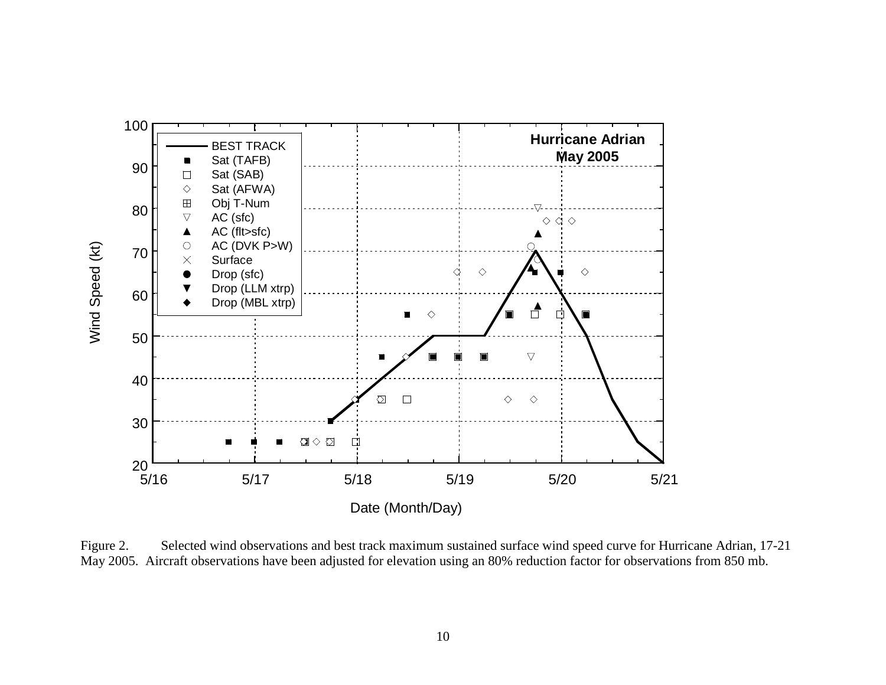

Figure 2. Selected wind observations and best track maximum sustained surface wind speed curve for Hurricane Adrian, 17-21 May 2005. Aircraft observations have been adjusted for elevation using an 80% reduction factor for observations from 850 mb.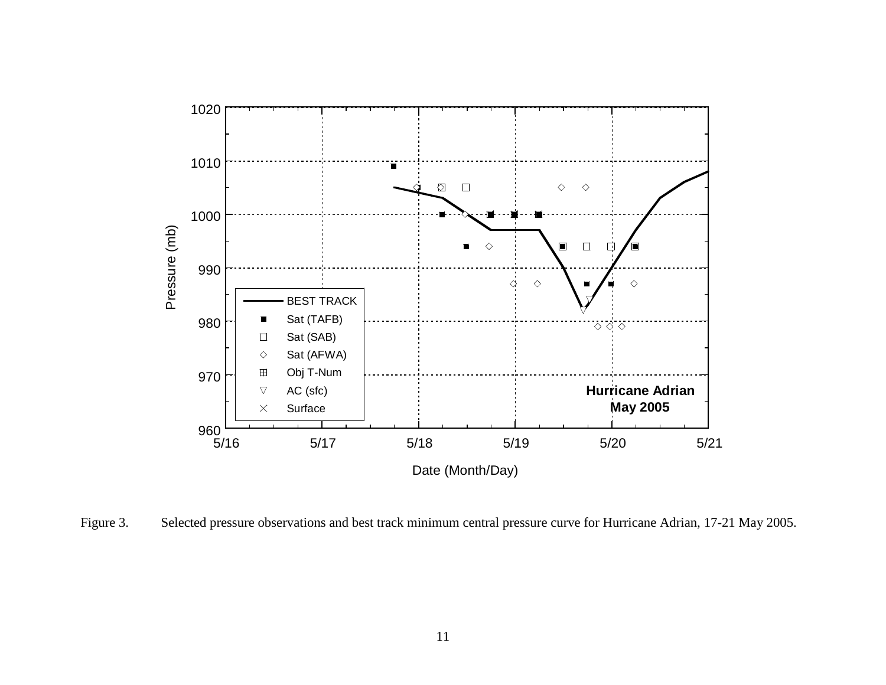

Figure 3. Selected pressure observations and best track minimum central pressure curve for Hurricane Adrian, 17-21 May 2005.